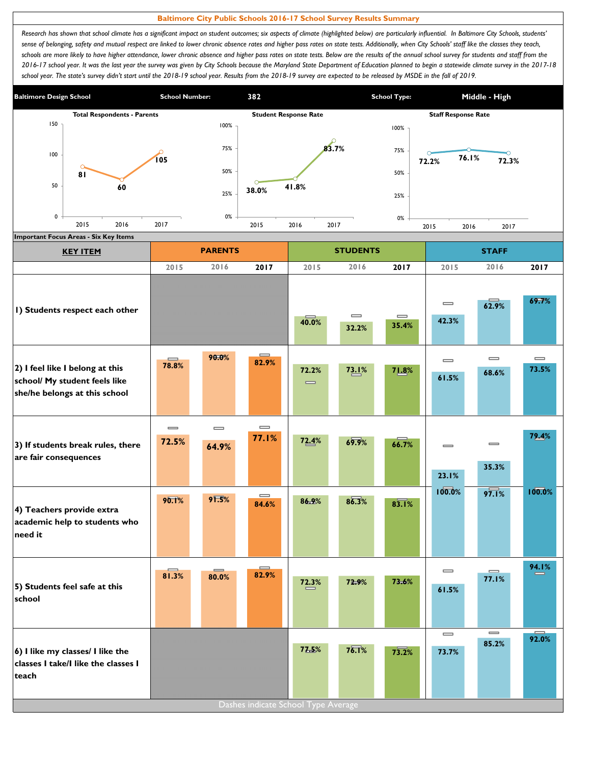## **Baltimore City Public Schools 2016-17 School Survey Results Summary**

Research has shown that school climate has a significant impact on student outcomes; six aspects of climate (highlighted below) are particularly influential. In Baltimore City Schools, students' sense of belonging, safety and mutual respect are linked to lower chronic absence rates and higher pass rates on state tests. Additionally, when City Schools' staff like the classes they teach, schools are more likely to have higher attendance, lower chronic absence and higher pass rates on state tests. Below are the results of the annual school survey for students and staff from the *2016-17 school year. It was the last year the survey was given by City Schools because the Maryland State Department of Education planned to begin a statewide climate survey in the 2017-18*  school year. The state's survey didn't start until the 2018-19 school year. Results from the 2018-19 survey are expected to be released by MSDE in the fall of 2019.



| <b>KEY ITEM</b>                                                                                   |                                       | <b>PARENTS</b>    |                                       |                                       | <b>STUDENTS</b>   |                                       |                                       | <b>STAFF</b>                          |                   |
|---------------------------------------------------------------------------------------------------|---------------------------------------|-------------------|---------------------------------------|---------------------------------------|-------------------|---------------------------------------|---------------------------------------|---------------------------------------|-------------------|
|                                                                                                   | 2015                                  | 2016              | 2017                                  | 2015                                  | 2016              | 2017                                  | 2015                                  | 2016                                  | 2017              |
| I) Students respect each other                                                                    |                                       |                   |                                       | 40.0%                                 | $\equiv$<br>32.2% | $\qquad \qquad \blacksquare$<br>35.4% | $\qquad \qquad \blacksquare$<br>42.3% | 62.9%                                 | 69.7%             |
| 2) I feel like I belong at this<br>school/ My student feels like<br>she/he belongs at this school | 78.8%                                 | 90.0%             | $\equiv$<br>82.9%                     | 72.2%<br>$\qquad \qquad \blacksquare$ | 73.1%             | 71.8%                                 | $\qquad \qquad \blacksquare$<br>61.5% | $\qquad \qquad \blacksquare$<br>68.6% | $\equiv$<br>73.5% |
| 3) If students break rules, there<br>are fair consequences                                        | $\qquad \qquad \blacksquare$<br>72.5% | $\equiv$<br>64.9% | $\qquad \qquad \blacksquare$<br>77.1% | 72.4%                                 | 69.9%             | 66.7%                                 | $\qquad \qquad \blacksquare$<br>23.1% | $\qquad \qquad \blacksquare$<br>35.3% | 79.4%             |
| 4) Teachers provide extra<br>academic help to students who<br>need it                             | 90.1%                                 | 91.5%             | $\qquad \qquad \blacksquare$<br>84.6% | 86.9%                                 | 86.3%             | 83.1%                                 | 100.0%                                | 97.1%                                 | 100.0%            |
| 5) Students feel safe at this<br>school                                                           | 81.3%                                 | 80.0%             | 82.9%                                 | 72.3%                                 | 72.9%             | 73.6%                                 | $\qquad \qquad \blacksquare$<br>61.5% | $\equiv$<br>77.1%                     | 94.1%             |
| 6) I like my classes/ I like the<br>classes I take/I like the classes I<br>teach                  |                                       |                   | Dashes indicate School Type Average   | 77.5%                                 | 76.1%             | 73.2%                                 | $\qquad \qquad \blacksquare$<br>73.7% | $\qquad \qquad \blacksquare$<br>85.2% | 92.0%             |